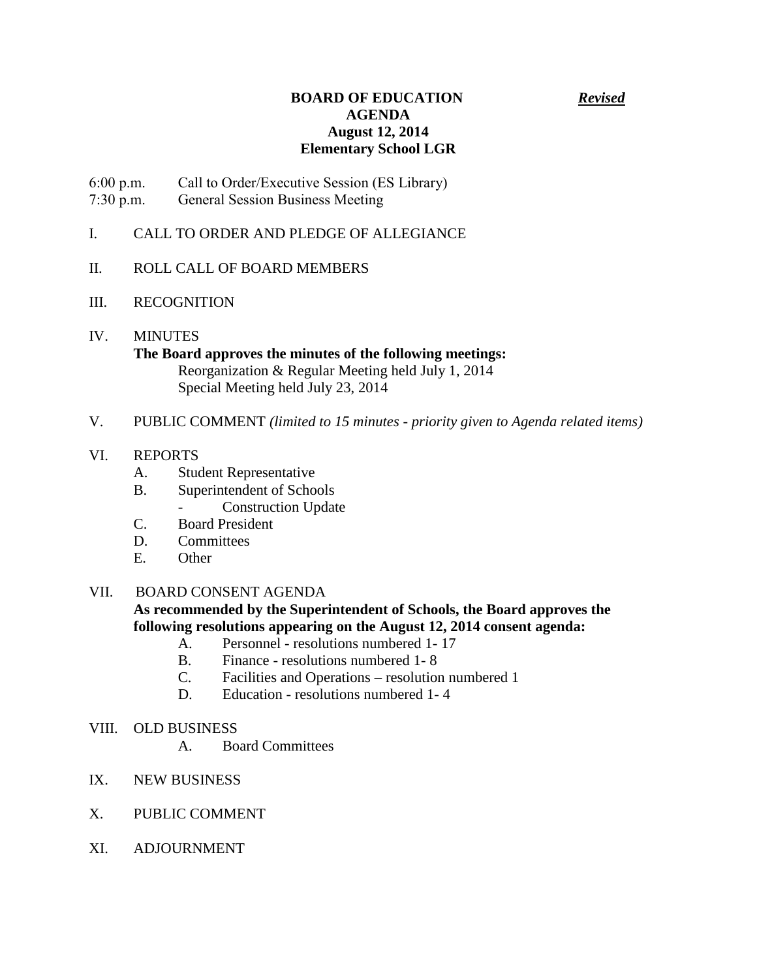## **BOARD OF EDUCATION** *Revised* **AGENDA August 12, 2014 Elementary School LGR**

6:00 p.m. Call to Order/Executive Session (ES Library)

- 7:30 p.m. General Session Business Meeting
- I. CALL TO ORDER AND PLEDGE OF ALLEGIANCE
- II. ROLL CALL OF BOARD MEMBERS
- III. RECOGNITION
- IV. MINUTES **The Board approves the minutes of the following meetings:** Reorganization & Regular Meeting held July 1, 2014 Special Meeting held July 23, 2014
- V. PUBLIC COMMENT *(limited to 15 minutes - priority given to Agenda related items)*
- VI. REPORTS
	- A. Student Representative
	- B. Superintendent of Schools
		- Construction Update
	- C. Board President
	- D. Committees
	- E. Other

## VII. BOARD CONSENT AGENDA

**As recommended by the Superintendent of Schools, the Board approves the following resolutions appearing on the August 12, 2014 consent agenda:**

- A. Personnel resolutions numbered 1- 17
- B. Finance resolutions numbered 1- 8
- C. Facilities and Operations resolution numbered 1
- D. Education resolutions numbered 1- 4
- VIII. OLD BUSINESS
	- A. Board Committees
- IX. NEW BUSINESS
- X. PUBLIC COMMENT
- XI. ADJOURNMENT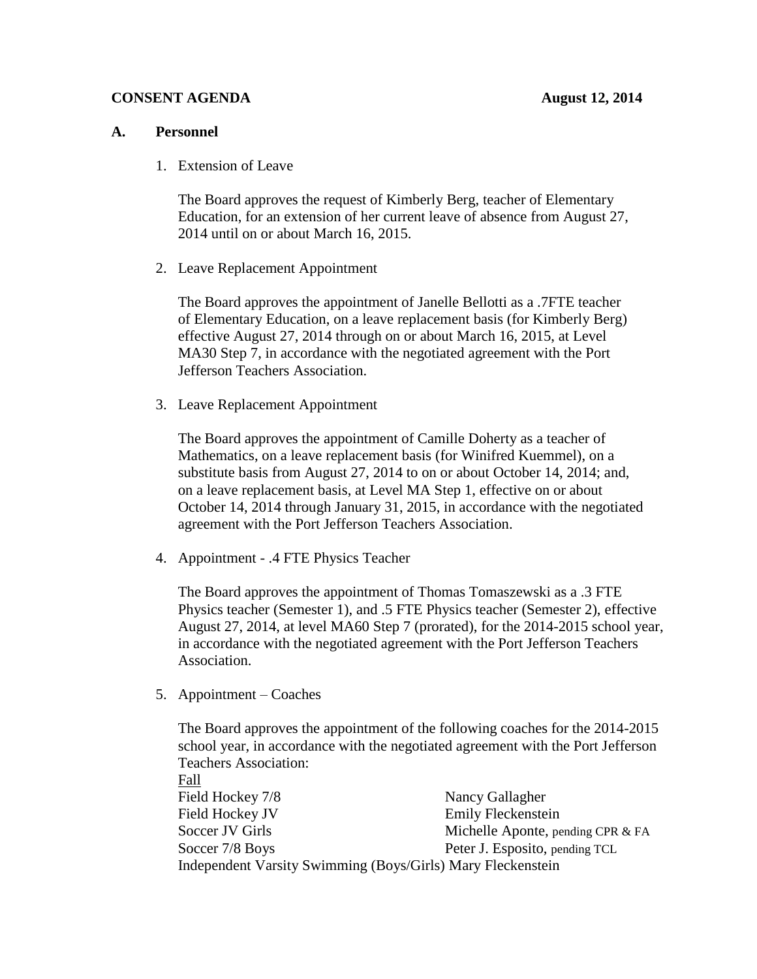## **CONSENT AGENDA** August 12, 2014

### **A. Personnel**

1. Extension of Leave

The Board approves the request of Kimberly Berg, teacher of Elementary Education, for an extension of her current leave of absence from August 27, 2014 until on or about March 16, 2015.

2. Leave Replacement Appointment

The Board approves the appointment of Janelle Bellotti as a .7FTE teacher of Elementary Education, on a leave replacement basis (for Kimberly Berg) effective August 27, 2014 through on or about March 16, 2015, at Level MA30 Step 7, in accordance with the negotiated agreement with the Port Jefferson Teachers Association.

3. Leave Replacement Appointment

The Board approves the appointment of Camille Doherty as a teacher of Mathematics, on a leave replacement basis (for Winifred Kuemmel), on a substitute basis from August 27, 2014 to on or about October 14, 2014; and, on a leave replacement basis, at Level MA Step 1, effective on or about October 14, 2014 through January 31, 2015, in accordance with the negotiated agreement with the Port Jefferson Teachers Association.

4. Appointment - .4 FTE Physics Teacher

The Board approves the appointment of Thomas Tomaszewski as a .3 FTE Physics teacher (Semester 1), and .5 FTE Physics teacher (Semester 2), effective August 27, 2014, at level MA60 Step 7 (prorated), for the 2014-2015 school year, in accordance with the negotiated agreement with the Port Jefferson Teachers Association.

5. Appointment – Coaches

The Board approves the appointment of the following coaches for the 2014-2015 school year, in accordance with the negotiated agreement with the Port Jefferson Teachers Association:

Fall Field Hockey 7/8 Nancy Gallagher Field Hockey JV Emily Fleckenstein Soccer JV Girls Michelle Aponte, pending CPR & FA Soccer 7/8 Boys Peter J. Esposito, pending TCL Independent Varsity Swimming (Boys/Girls) Mary Fleckenstein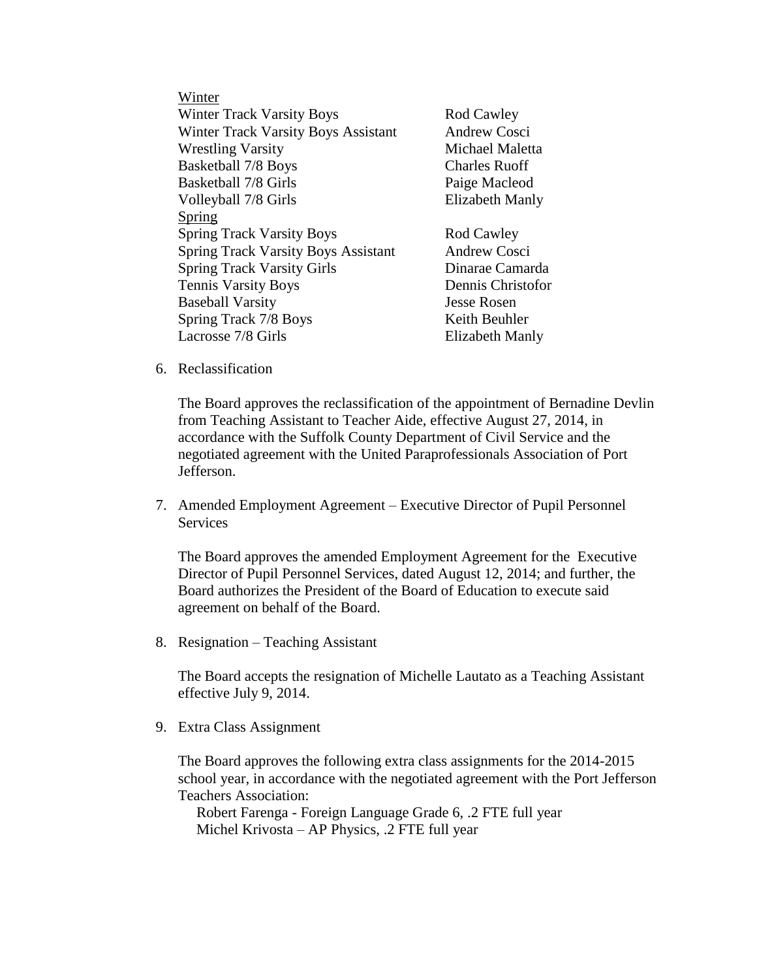Winter Winter Track Varsity Boys Rod Cawley Winter Track Varsity Boys Assistant Andrew Cosci Wrestling Varsity **Michael Maletta** Basketball 7/8 Boys Charles Ruoff Basketball 7/8 Girls Paige Macleod Volleyball 7/8 Girls Elizabeth Manly Spring Spring Track Varsity Boys Rod Cawley Spring Track Varsity Boys Assistant Andrew Cosci Spring Track Varsity Girls Dinarae Camarda Tennis Varsity Boys Dennis Christofor Baseball Varsity Jesse Rosen Spring Track 7/8 Boys Keith Beuhler Lacrosse 7/8 Girls Elizabeth Manly

6. Reclassification

The Board approves the reclassification of the appointment of Bernadine Devlin from Teaching Assistant to Teacher Aide, effective August 27, 2014, in accordance with the Suffolk County Department of Civil Service and the negotiated agreement with the United Paraprofessionals Association of Port Jefferson.

7. Amended Employment Agreement – Executive Director of Pupil Personnel **Services** 

The Board approves the amended Employment Agreement for the Executive Director of Pupil Personnel Services, dated August 12, 2014; and further, the Board authorizes the President of the Board of Education to execute said agreement on behalf of the Board.

8. Resignation – Teaching Assistant

The Board accepts the resignation of Michelle Lautato as a Teaching Assistant effective July 9, 2014.

9. Extra Class Assignment

The Board approves the following extra class assignments for the 2014-2015 school year, in accordance with the negotiated agreement with the Port Jefferson Teachers Association:

 Robert Farenga - Foreign Language Grade 6, .2 FTE full year Michel Krivosta – AP Physics, .2 FTE full year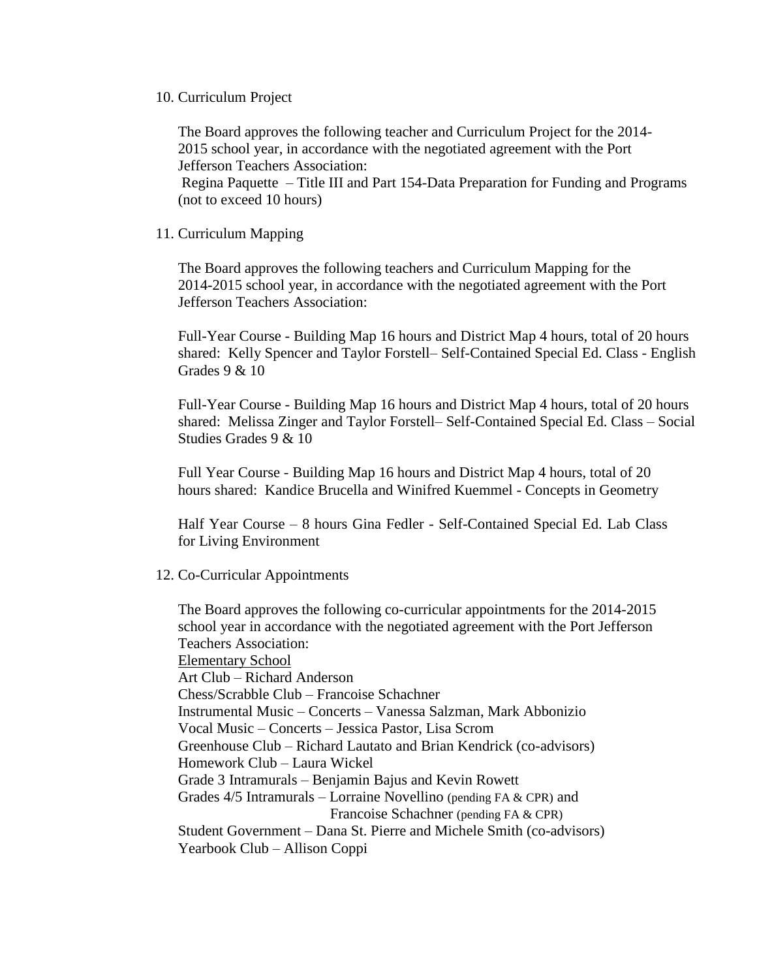#### 10. Curriculum Project

The Board approves the following teacher and Curriculum Project for the 2014- 2015 school year, in accordance with the negotiated agreement with the Port Jefferson Teachers Association:

Regina Paquette – Title III and Part 154-Data Preparation for Funding and Programs (not to exceed 10 hours)

### 11. Curriculum Mapping

The Board approves the following teachers and Curriculum Mapping for the 2014-2015 school year, in accordance with the negotiated agreement with the Port Jefferson Teachers Association:

Full-Year Course - Building Map 16 hours and District Map 4 hours, total of 20 hours shared: Kelly Spencer and Taylor Forstell– Self-Contained Special Ed. Class - English Grades 9 & 10

Full-Year Course - Building Map 16 hours and District Map 4 hours, total of 20 hours shared: Melissa Zinger and Taylor Forstell– Self-Contained Special Ed. Class – Social Studies Grades 9 & 10

Full Year Course - Building Map 16 hours and District Map 4 hours, total of 20 hours shared: Kandice Brucella and Winifred Kuemmel - Concepts in Geometry

Half Year Course – 8 hours Gina Fedler - Self-Contained Special Ed. Lab Class for Living Environment

#### 12. Co-Curricular Appointments

The Board approves the following co-curricular appointments for the 2014-2015 school year in accordance with the negotiated agreement with the Port Jefferson Teachers Association: Elementary School Art Club – Richard Anderson Chess/Scrabble Club – Francoise Schachner Instrumental Music – Concerts – Vanessa Salzman, Mark Abbonizio Vocal Music – Concerts – Jessica Pastor, Lisa Scrom Greenhouse Club – Richard Lautato and Brian Kendrick (co-advisors) Homework Club – Laura Wickel Grade 3 Intramurals – Benjamin Bajus and Kevin Rowett Grades 4/5 Intramurals – Lorraine Novellino (pending FA & CPR) and Francoise Schachner (pending FA & CPR) Student Government – Dana St. Pierre and Michele Smith (co-advisors) Yearbook Club – Allison Coppi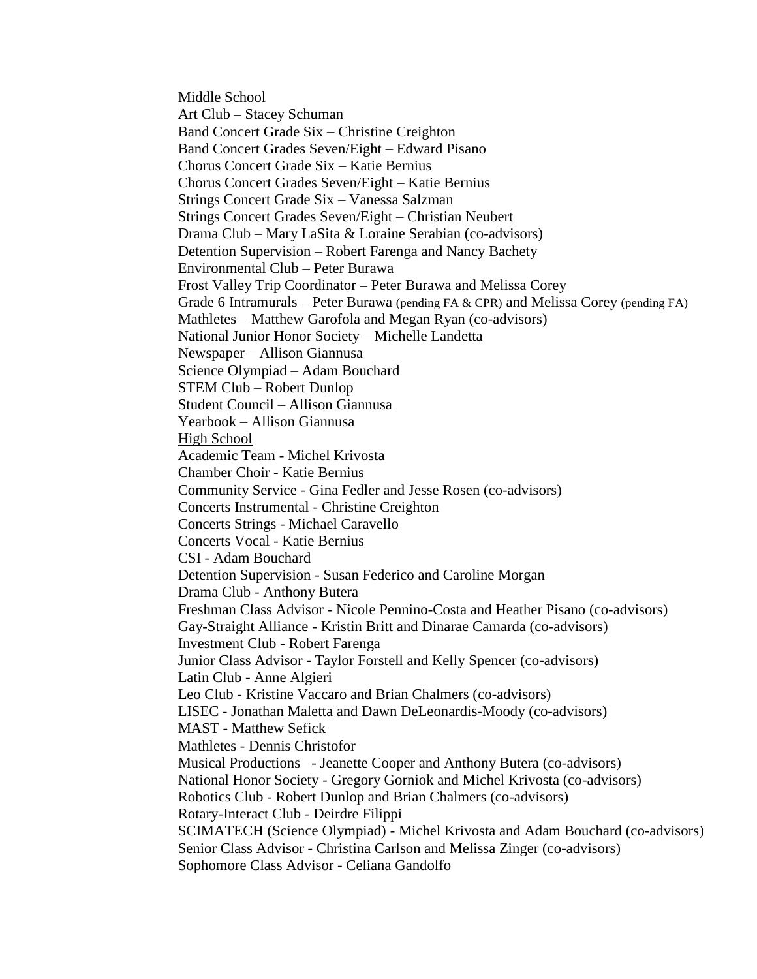Middle School Art Club – Stacey Schuman Band Concert Grade Six – Christine Creighton Band Concert Grades Seven/Eight – Edward Pisano Chorus Concert Grade Six – Katie Bernius Chorus Concert Grades Seven/Eight – Katie Bernius Strings Concert Grade Six – Vanessa Salzman Strings Concert Grades Seven/Eight – Christian Neubert Drama Club – Mary LaSita & Loraine Serabian (co-advisors) Detention Supervision – Robert Farenga and Nancy Bachety Environmental Club – Peter Burawa Frost Valley Trip Coordinator – Peter Burawa and Melissa Corey Grade 6 Intramurals – Peter Burawa (pending FA & CPR) and Melissa Corey (pending FA) Mathletes – Matthew Garofola and Megan Ryan (co-advisors) National Junior Honor Society – Michelle Landetta Newspaper – Allison Giannusa Science Olympiad – Adam Bouchard STEM Club – Robert Dunlop Student Council – Allison Giannusa Yearbook – Allison Giannusa High School Academic Team - Michel Krivosta Chamber Choir - Katie Bernius Community Service - Gina Fedler and Jesse Rosen (co-advisors) Concerts Instrumental - Christine Creighton Concerts Strings - Michael Caravello Concerts Vocal - Katie Bernius CSI - Adam Bouchard Detention Supervision - Susan Federico and Caroline Morgan Drama Club - Anthony Butera Freshman Class Advisor - Nicole Pennino-Costa and Heather Pisano (co-advisors) Gay-Straight Alliance - Kristin Britt and Dinarae Camarda (co-advisors) Investment Club - Robert Farenga Junior Class Advisor - Taylor Forstell and Kelly Spencer (co-advisors) Latin Club - Anne Algieri Leo Club - Kristine Vaccaro and Brian Chalmers (co-advisors) LISEC - Jonathan Maletta and Dawn DeLeonardis-Moody (co-advisors) MAST - Matthew Sefick Mathletes - Dennis Christofor Musical Productions - Jeanette Cooper and Anthony Butera (co-advisors) National Honor Society - Gregory Gorniok and Michel Krivosta (co-advisors) Robotics Club - Robert Dunlop and Brian Chalmers (co-advisors) Rotary-Interact Club - Deirdre Filippi SCIMATECH (Science Olympiad) - Michel Krivosta and Adam Bouchard (co-advisors) Senior Class Advisor - Christina Carlson and Melissa Zinger (co-advisors) Sophomore Class Advisor - Celiana Gandolfo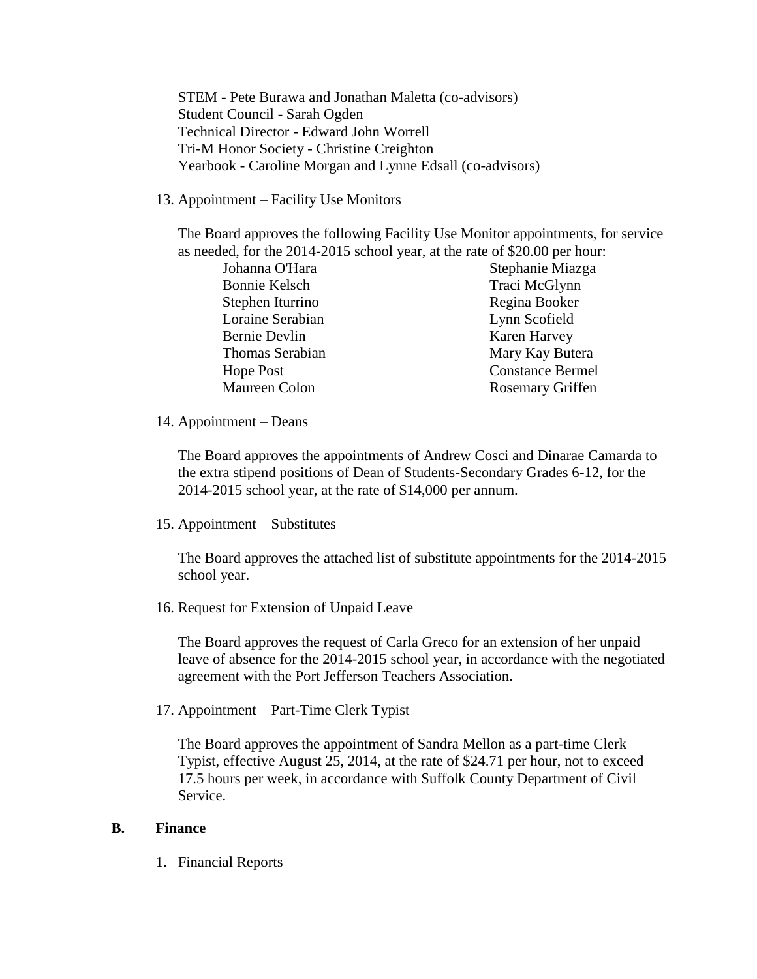STEM - Pete Burawa and Jonathan Maletta (co-advisors) Student Council - Sarah Ogden Technical Director - Edward John Worrell Tri-M Honor Society - Christine Creighton Yearbook - Caroline Morgan and Lynne Edsall (co-advisors)

13. Appointment – Facility Use Monitors

The Board approves the following Facility Use Monitor appointments, for service as needed, for the 2014-2015 school year, at the rate of \$20.00 per hour:

| Johanna O'Hara   | Stephanie Miazga        |
|------------------|-------------------------|
| Bonnie Kelsch    | Traci McGlynn           |
| Stephen Iturrino | Regina Booker           |
| Loraine Serabian | Lynn Scofield           |
| Bernie Devlin    | Karen Harvey            |
| Thomas Serabian  | Mary Kay Butera         |
| Hope Post        | <b>Constance Bermel</b> |
| Maureen Colon    | <b>Rosemary Griffen</b> |

14. Appointment – Deans

The Board approves the appointments of Andrew Cosci and Dinarae Camarda to the extra stipend positions of Dean of Students-Secondary Grades 6-12, for the 2014-2015 school year, at the rate of \$14,000 per annum.

15. Appointment – Substitutes

The Board approves the attached list of substitute appointments for the 2014-2015 school year.

16. Request for Extension of Unpaid Leave

The Board approves the request of Carla Greco for an extension of her unpaid leave of absence for the 2014-2015 school year, in accordance with the negotiated agreement with the Port Jefferson Teachers Association.

17. Appointment – Part-Time Clerk Typist

The Board approves the appointment of Sandra Mellon as a part-time Clerk Typist, effective August 25, 2014, at the rate of \$24.71 per hour, not to exceed 17.5 hours per week, in accordance with Suffolk County Department of Civil Service.

## **B. Finance**

1. Financial Reports –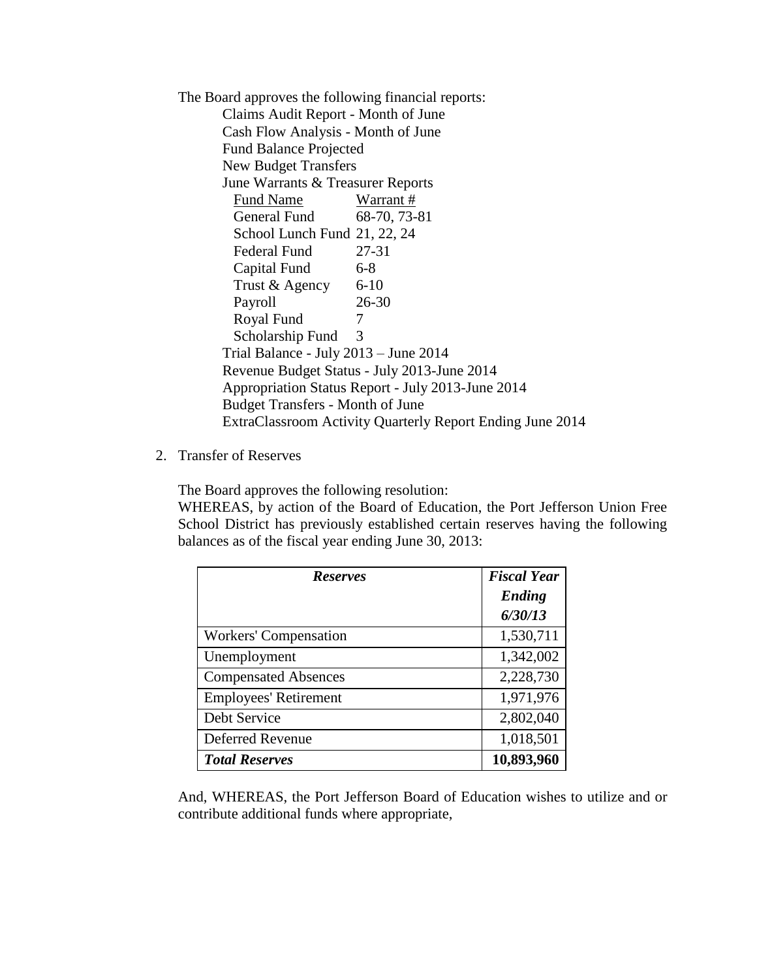The Board approves the following financial reports: Claims Audit Report - Month of June Cash Flow Analysis - Month of June Fund Balance Projected New Budget Transfers June Warrants & Treasurer Reports Fund Name Warrant # General Fund 68-70, 73-81 School Lunch Fund 21, 22, 24 Federal Fund 27-31 Capital Fund 6-8 Trust  $& \text{Agency}$  6-10 Payroll 26-30 Royal Fund 7 Scholarship Fund 3 Trial Balance - July 2013 – June 2014 Revenue Budget Status - July 2013-June 2014 Appropriation Status Report - July 2013-June 2014 Budget Transfers - Month of June ExtraClassroom Activity Quarterly Report Ending June 2014

2. Transfer of Reserves

The Board approves the following resolution:

WHEREAS, by action of the Board of Education, the Port Jefferson Union Free School District has previously established certain reserves having the following balances as of the fiscal year ending June 30, 2013:

| <b>Reserves</b>              | <b>Fiscal Year</b> |
|------------------------------|--------------------|
|                              | <b>Ending</b>      |
|                              | 6/30/13            |
| <b>Workers' Compensation</b> | 1,530,711          |
| Unemployment                 | 1,342,002          |
| <b>Compensated Absences</b>  | 2,228,730          |
| <b>Employees' Retirement</b> | 1,971,976          |
| Debt Service                 | 2,802,040          |
| <b>Deferred Revenue</b>      | 1,018,501          |
| <b>Total Reserves</b>        | 10,893,960         |

And, WHEREAS, the Port Jefferson Board of Education wishes to utilize and or contribute additional funds where appropriate,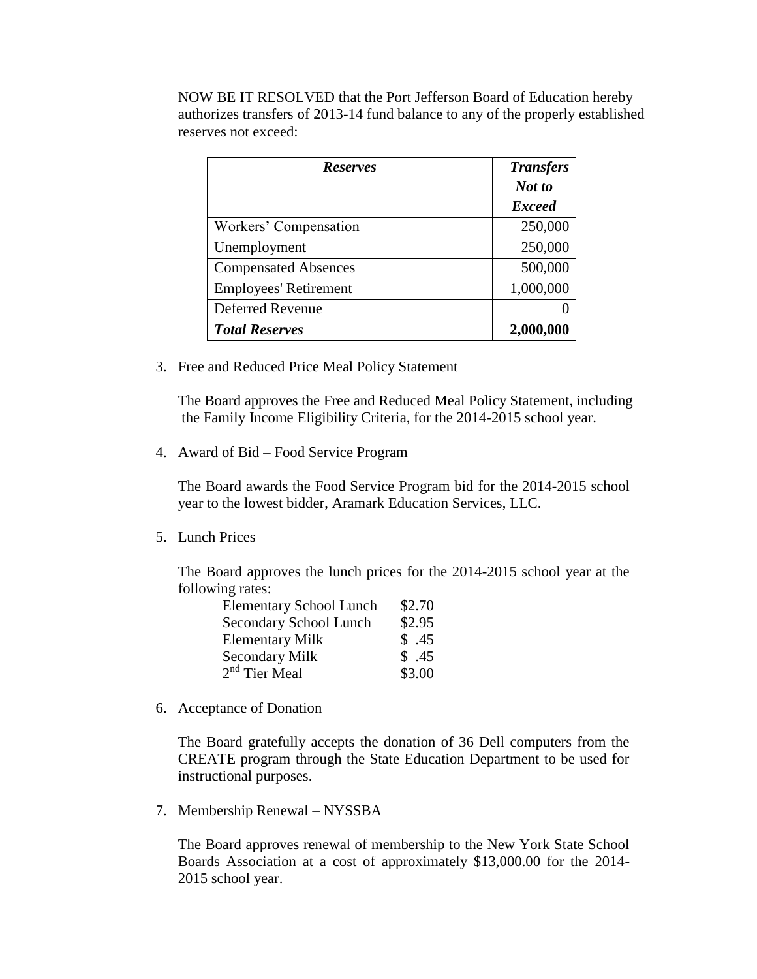NOW BE IT RESOLVED that the Port Jefferson Board of Education hereby authorizes transfers of 2013-14 fund balance to any of the properly established reserves not exceed:

| <b>Reserves</b>              | <b>Transfers</b> |
|------------------------------|------------------|
|                              | Not to           |
|                              | <b>Exceed</b>    |
| Workers' Compensation        | 250,000          |
| Unemployment                 | 250,000          |
| <b>Compensated Absences</b>  | 500,000          |
| <b>Employees' Retirement</b> | 1,000,000        |
| <b>Deferred Revenue</b>      |                  |
| <b>Total Reserves</b>        | 2,000,000        |

3. Free and Reduced Price Meal Policy Statement

The Board approves the Free and Reduced Meal Policy Statement, including the Family Income Eligibility Criteria, for the 2014-2015 school year.

4. Award of Bid – Food Service Program

The Board awards the Food Service Program bid for the 2014-2015 school year to the lowest bidder, Aramark Education Services, LLC.

5. Lunch Prices

The Board approves the lunch prices for the 2014-2015 school year at the following rates:

| <b>Elementary School Lunch</b> | \$2.70 |
|--------------------------------|--------|
| Secondary School Lunch         | \$2.95 |
| <b>Elementary Milk</b>         | \$.45  |
| <b>Secondary Milk</b>          | \$.45  |
| 2 <sup>nd</sup> Tier Meal      | \$3.00 |

6. Acceptance of Donation

The Board gratefully accepts the donation of 36 Dell computers from the CREATE program through the State Education Department to be used for instructional purposes.

7. Membership Renewal – NYSSBA

The Board approves renewal of membership to the New York State School Boards Association at a cost of approximately \$13,000.00 for the 2014- 2015 school year.